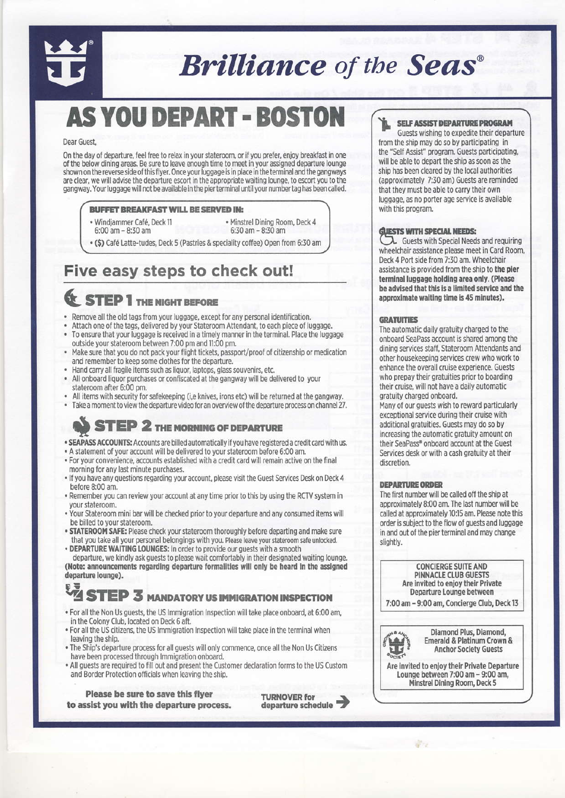

# **Brilliance** of the Seas<sup>®</sup>

# **AS YOU DEPART - BOSTON**

#### Dear Guest

On the day of departure, feel free to relax in your stateroom, or if you prefer, enjoy breakfast in one of the below dining areas. Be sure to leave enough time to meet in your assigned departure lounge shown on the reverse side of this flyer. Once your luggage is in place in the terminal and the gangways are clear, we will advise the departure escort in the appropriate waiting lounge, to escort you to the gangway. Your luggage will not be available in the pier terminal until your number tag has been called.

#### **BUFFET BREAKFAST WILL BE SERVED IN:**

- · Windiammer Café, Deck 11
- · Minstrel Dining Room, Deck 4
- 6:00 am 8:30 am 6:30 am - 8:30 am

(\$) Café Latte-tudes. Deck 5 (Pastries & speciality coffee) Open from 6:30 am

## Five easy steps to check out!

## **STEP 1 THE NIGHT BEFORE**

- Remove all the old tags from your luggage, except for any personal identification.  $\bullet$
- Attach one of the tags, delivered by your Stateroom Attendant, to each piece of luggage.
- To ensure that your luggage is received in a timely manner in the terminal. Place the luggage  $\bullet$ outside your stateroom between 7:00 pm and 11:00 pm.
- Make sure that you do not pack your flight tickets, passport/proof of citizenship or medication and remember to keep some clothes for the departure.
- Hand carry all fragile items such as liquor, laptops, glass souvenirs, etc.
- All onboard liquor purchases or confiscated at the gangway will be delivered to your stateroom after 6:00 pm.
- All items with security for safekeeping (i,e knives, irons etc) will be returned at the gangway.
- Take a moment to view the departure video for an overview of the departure process on channel 27.

## **STEP 2 THE MORNING OF DEPARTURE**

- . SEAPASS ACCOUNTS: Accounts are billed automatically if you have registered a credit card with us.
- . A statement of your account will be delivered to your stateroom before 6:00 am.
- . For your convenience, accounts established with a credit card will remain active on the final morning for any last minute purchases.
- . If you have any questions regarding your account, please visit the Guest Services Desk on Deck 4 before 8:00 am.
- . Remember you can review your account at any time prior to this by using the RCTV system in vour stateroom.
- . Your Stateroom mini bar will be checked prior to your departure and any consumed items will be billed to your stateroom.
- . STATEROOM SAFE: Please check your stateroom thoroughly before departing and make sure that you take all your personal belongings with you. Please leave your stateroom safe unlocked. · DEPARTURE WAITING LOUNGES: In order to provide our guests with a smooth

departure, we kindly ask guests to please wait comfortably in their designated waiting lounge. (Note: announcements regarding departure formalities will only be heard in the assigned departure lounge).

#### VŽ **STEP 3 MANDATORY US IMMIGRATION INSPECTION**

- . For all the Non Us guests, the US Immigration Inspection will take place onboard, at 6:00 am, in the Colony Club, located on Deck 6 aft.
- . For all the US citizens, the US Immigration Inspection will take place in the terminal when leaving the ship.
- . The Ship's departure process for all guests will only commence, once all the Non Us Citizens have been processed through Immigration onboard.
- . All guests are required to fill out and present the Customer declaration forms to the US Custom and Border Protection officials when leaving the ship.

Please be sure to save this flyer to assist you with the departure process.



#### **SELF ASSIST DEPARTURE PROGRAM**

Guests wishing to expedite their departure from the ship may do so by participating in the "Self Assist" program. Guests participating, will be able to depart the ship as soon as the ship has been cleared by the local authorities (approximately 7:30 am) Guests are reminded that they must be able to carry their own luggage, as no porter age service is available with this program.

#### **GUESTS WITH SPECIAL NEEDS:**

 $\lambda$  Guests with Special Needs and requiring wheelchair assistance please meet in Card Room, Deck 4 Port side from 7:30 am. Wheelchair assistance is provided from the ship to the pier terminal luggage holding area only. (Please be advised that this is a limited service and the approximate waiting time is 45 minutes).

#### **GRATUITIES**

The automatic daily gratuity charged to the onboard SeaPass account is shared among the dining services staff, Stateroom Attendants and other housekeeping services crew who work to enhance the overall cruise experience. Guests who prepay their gratuities prior to boarding their cruise, will not have a daily automatic gratuity charged onboard.

Many of our guests wish to reward particularly exceptional service during their cruise with additional gratuities. Guests may do so by increasing the automatic gratuity amount on their SeaPass® onboard account at the Guest Services desk or with a cash gratuity at their discretion.

#### **DEPARTURE ORDER**

The first number will be called off the ship at approximately 8:00 am. The last number will be called at approximately 10:15 am. Please note this order is subject to the flow of guests and luggage in and out of the pier terminal and may change slightly.

> **CONCIERGE SUITE AND PINNACLE CLUB GUESTS** Are invited to enjoy their Private Departure Lounge between

7:00 am - 9:00 am, Concierge Club, Deck 13



Diamond Plus, Diamond, Emerald & Platinum Crown & **Anchor Society Guests** 

Are invited to enjoy their Private Departure Lounge between 7:00 am - 9:00 am. Minstrel Dining Room, Deck 5